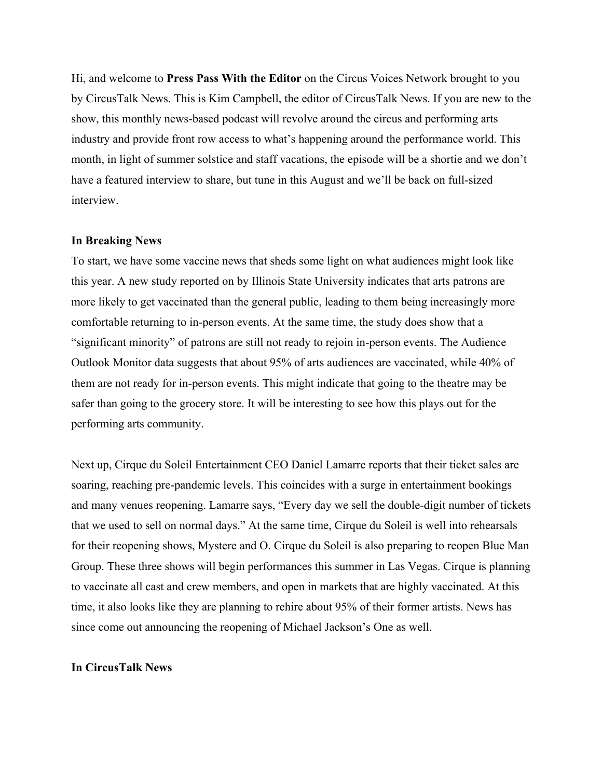Hi, and welcome to **Press Pass With the Editor** on the Circus Voices Network brought to you by CircusTalk News. This is Kim Campbell, the editor of CircusTalk News. If you are new to the show, this monthly news-based podcast will revolve around the circus and performing arts industry and provide front row access to what's happening around the performance world. This month, in light of summer solstice and staff vacations, the episode will be a shortie and we don't have a featured interview to share, but tune in this August and we'll be back on full-sized interview.

#### **In Breaking News**

To start, we have some vaccine news that sheds some light on what audiences might look like this year. A new study reported on by Illinois State University indicates that arts patrons are more likely to get vaccinated than the general public, leading to them being increasingly more comfortable returning to in-person events. At the same time, the study does show that a "significant minority" of patrons are still not ready to rejoin in-person events. The Audience Outlook Monitor data suggests that about 95% of arts audiences are vaccinated, while 40% of them are not ready for in-person events. This might indicate that going to the theatre may be safer than going to the grocery store. It will be interesting to see how this plays out for the performing arts community.

Next up, Cirque du Soleil Entertainment CEO Daniel Lamarre reports that their ticket sales are soaring, reaching pre-pandemic levels. This coincides with a surge in entertainment bookings and many venues reopening. Lamarre says, "Every day we sell the double-digit number of tickets that we used to sell on normal days." At the same time, Cirque du Soleil is well into rehearsals for their reopening shows, Mystere and O. Cirque du Soleil is also preparing to reopen Blue Man Group. These three shows will begin performances this summer in Las Vegas. Cirque is planning to vaccinate all cast and crew members, and open in markets that are highly vaccinated. At this time, it also looks like they are planning to rehire about 95% of their former artists. News has since come out announcing the reopening of Michael Jackson's One as well.

#### **In CircusTalk News**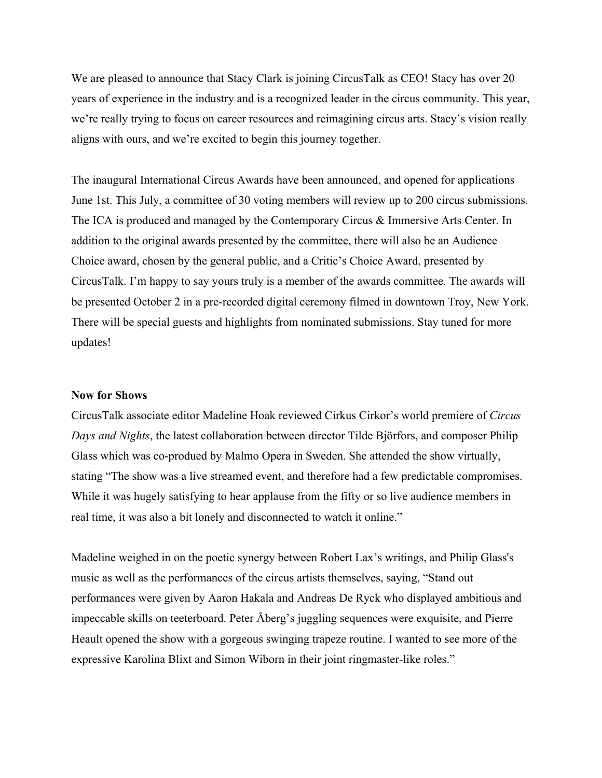We are pleased to announce that Stacy Clark is joining CircusTalk as CEO! Stacy has over 20 years of experience in the industry and is a recognized leader in the circus community. This year, we're really trying to focus on career resources and reimagining circus arts. Stacy's vision really aligns with ours, and we're excited to begin this journey together.

The inaugural International Circus Awards have been announced, and opened for applications June 1st. This July, a committee of 30 voting members will review up to 200 circus submissions. The ICA is produced and managed by the Contemporary Circus & Immersive Arts Center. In addition to the original awards presented by the committee, there will also be an Audience Choice award, chosen by the general public, and a Critic's Choice Award, presented by CircusTalk. I'm happy to say yours truly is a member of the awards committee. The awards will be presented October 2 in a pre-recorded digital ceremony filmed in downtown Troy, New York. There will be special guests and highlights from nominated submissions. Stay tuned for more updates!

## **Now for Shows**

CircusTalk associate editor Madeline Hoak reviewed Cirkus Cirkor's world premiere of *Circus Days and Nights*, the latest collaboration between director Tilde Björfors, and composer Philip Glass which was co-produed by Malmo Opera in Sweden. She attended the show virtually, stating "The show was a live streamed event, and therefore had a few predictable compromises. While it was hugely satisfying to hear applause from the fifty or so live audience members in real time, it was also a bit lonely and disconnected to watch it online."

Madeline weighed in on the poetic synergy between Robert Lax's writings, and Philip Glass's music as well as the performances of the circus artists themselves, saying, "Stand out performances were given by Aaron Hakala and Andreas De Ryck who displayed ambitious and impeccable skills on teeterboard. Peter Åberg's juggling sequences were exquisite, and Pierre Heault opened the show with a gorgeous swinging trapeze routine. I wanted to see more of the expressive Karolina Blixt and Simon Wiborn in their joint ringmaster-like roles."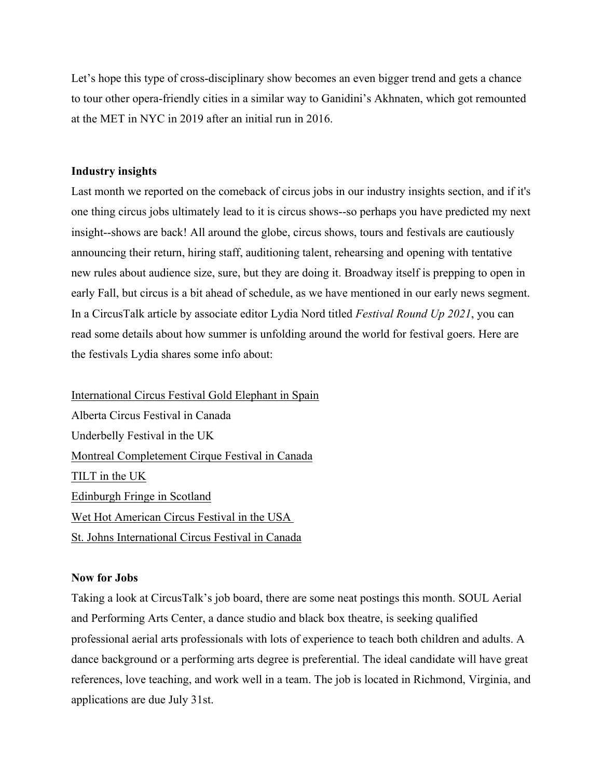Let's hope this type of cross-disciplinary show becomes an even bigger trend and gets a chance to tour other opera-friendly cities in a similar way to Ganidini's Akhnaten, which got remounted at the MET in NYC in 2019 after an initial run in 2016.

## **Industry insights**

Last month we reported on the comeback of circus jobs in our industry insights section, and if it's one thing circus jobs ultimately lead to it is circus shows--so perhaps you have predicted my next insight--shows are back! All around the globe, circus shows, tours and festivals are cautiously announcing their return, hiring staff, auditioning talent, rehearsing and opening with tentative new rules about audience size, sure, but they are doing it. Broadway itself is prepping to open in early Fall, but circus is a bit ahead of schedule, as we have mentioned in our early news segment. In a CircusTalk article by associate editor Lydia Nord titled *Festival Round Up 2021*, you can read some details about how summer is unfolding around the world for festival goers. Here are the festivals Lydia shares some info about:

International Circus Festival Gold Elephant in Spain Alberta Circus Festival in Canada Underbelly Festival in the UK Montreal Completement Cirque Festival in Canada TILT in the UK Edinburgh Fringe in Scotland Wet Hot American Circus Festival in the USA St. Johns International Circus Festival in Canada

## **Now for Jobs**

Taking a look at CircusTalk's job board, there are some neat postings this month. SOUL Aerial and Performing Arts Center, a dance studio and black box theatre, is seeking qualified professional aerial arts professionals with lots of experience to teach both children and adults. A dance background or a performing arts degree is preferential. The ideal candidate will have great references, love teaching, and work well in a team. The job is located in Richmond, Virginia, and applications are due July 31st.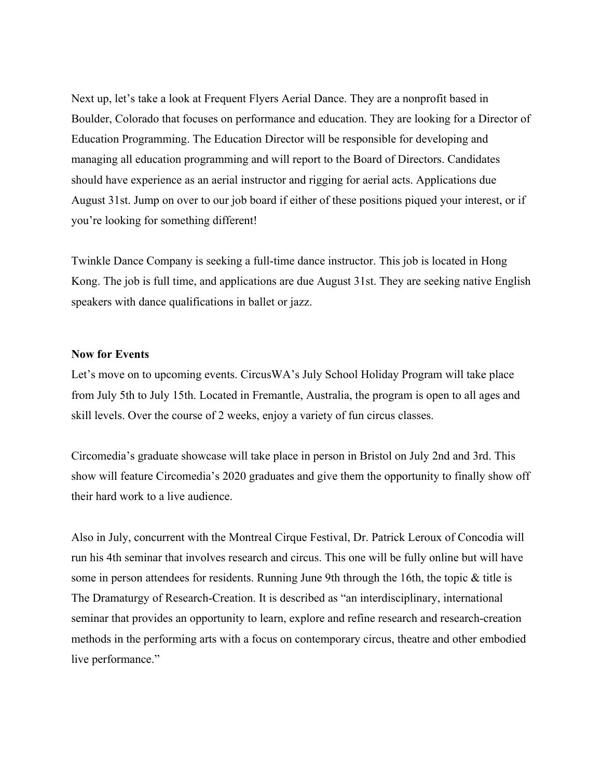Next up, let's take a look at Frequent Flyers Aerial Dance. They are a nonprofit based in Boulder, Colorado that focuses on performance and education. They are looking for a Director of Education Programming. The Education Director will be responsible for developing and managing all education programming and will report to the Board of Directors. Candidates should have experience as an aerial instructor and rigging for aerial acts. Applications due August 31st. Jump on over to our job board if either of these positions piqued your interest, or if you're looking for something different!

Twinkle Dance Company is seeking a full-time dance instructor. This job is located in Hong Kong. The job is full time, and applications are due August 31st. They are seeking native English speakers with dance qualifications in ballet or jazz.

#### **Now for Events**

Let's move on to upcoming events. CircusWA's July School Holiday Program will take place from July 5th to July 15th. Located in Fremantle, Australia, the program is open to all ages and skill levels. Over the course of 2 weeks, enjoy a variety of fun circus classes.

Circomedia's graduate showcase will take place in person in Bristol on July 2nd and 3rd. This show will feature Circomedia's 2020 graduates and give them the opportunity to finally show off their hard work to a live audience.

Also in July, concurrent with the Montreal Cirque Festival, Dr. Patrick Leroux of Concodia will run his 4th seminar that involves research and circus. This one will be fully online but will have some in person attendees for residents. Running June 9th through the 16th, the topic & title is The Dramaturgy of Research-Creation. It is described as "an interdisciplinary, international seminar that provides an opportunity to learn, explore and refine research and research-creation methods in the performing arts with a focus on contemporary circus, theatre and other embodied live performance."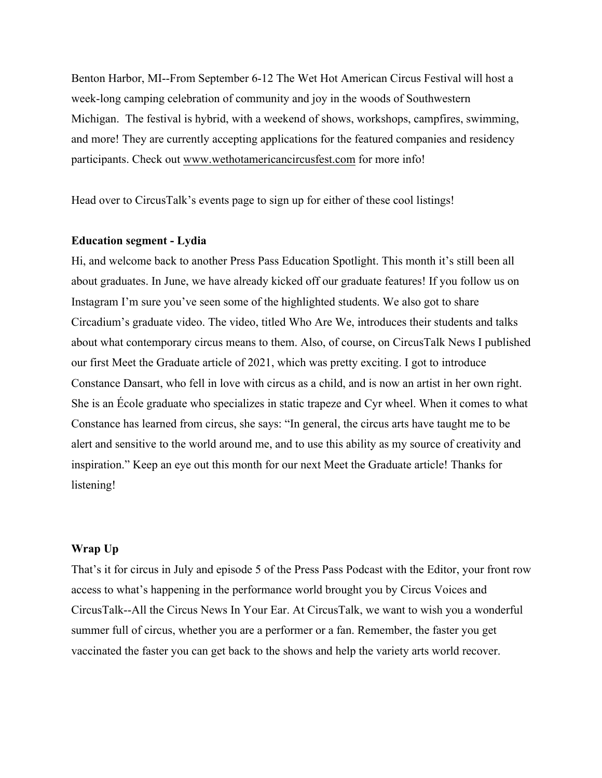Benton Harbor, MI--From September 6-12 The Wet Hot American Circus Festival will host a week-long camping celebration of community and joy in the woods of Southwestern Michigan. The festival is hybrid, with a weekend of shows, workshops, campfires, swimming, and more! They are currently accepting applications for the featured companies and residency participants. Check out www.wethotamericancircusfest.com for more info!

Head over to CircusTalk's events page to sign up for either of these cool listings!

## **Education segment - Lydia**

Hi, and welcome back to another Press Pass Education Spotlight. This month it's still been all about graduates. In June, we have already kicked off our graduate features! If you follow us on Instagram I'm sure you've seen some of the highlighted students. We also got to share Circadium's graduate video. The video, titled Who Are We, introduces their students and talks about what contemporary circus means to them. Also, of course, on CircusTalk News I published our first Meet the Graduate article of 2021, which was pretty exciting. I got to introduce Constance Dansart, who fell in love with circus as a child, and is now an artist in her own right. She is an École graduate who specializes in static trapeze and Cyr wheel. When it comes to what Constance has learned from circus, she says: "In general, the circus arts have taught me to be alert and sensitive to the world around me, and to use this ability as my source of creativity and inspiration." Keep an eye out this month for our next Meet the Graduate article! Thanks for listening!

# **Wrap Up**

That's it for circus in July and episode 5 of the Press Pass Podcast with the Editor, your front row access to what's happening in the performance world brought you by Circus Voices and CircusTalk--All the Circus News In Your Ear. At CircusTalk, we want to wish you a wonderful summer full of circus, whether you are a performer or a fan. Remember, the faster you get vaccinated the faster you can get back to the shows and help the variety arts world recover.